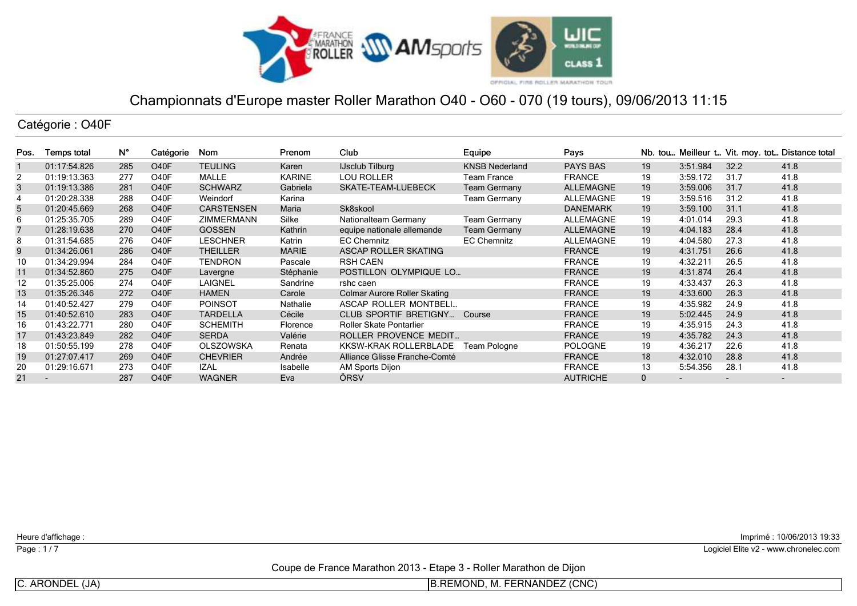

Catégorie : O40F

| Pos. | Temps total              | N°  | Catégorie         | Nom               | Prenom        | Club                                | Equipe                | Pays             |              |                          |                          | Nb. tou Meilleur t Vit. moy. tot Distance total |
|------|--------------------------|-----|-------------------|-------------------|---------------|-------------------------------------|-----------------------|------------------|--------------|--------------------------|--------------------------|-------------------------------------------------|
|      | 01:17:54.826             | 285 | O <sub>40</sub> F | <b>TEULING</b>    | Karen         | <b>IJsclub Tilburg</b>              | <b>KNSB Nederland</b> | <b>PAYS BAS</b>  | 19           | 3:51.984                 | 32.2                     | 41.8                                            |
| 2    | 01:19:13.363             | 277 | O <sub>4</sub> 0F | MALLE             | <b>KARINE</b> | <b>LOU ROLLER</b>                   | Team France           | <b>FRANCE</b>    | 19           | 3:59.172                 | 31.7                     | 41.8                                            |
| 3    | 01:19:13.386             | 281 | O <sub>40</sub> F | <b>SCHWARZ</b>    | Gabriela      | SKATE-TEAM-LUEBECK                  | <b>Team Germany</b>   | ALLEMAGNE        | 19           | 3:59.006                 | 31.7                     | 41.8                                            |
| 4    | 01:20:28.338             | 288 | O <sub>40</sub> F | Weindorf          | Karina        |                                     | <b>Team Germany</b>   | ALLEMAGNE        | 19           | 3:59.516                 | 31.2                     | 41.8                                            |
| 5    | 01:20:45.669             | 268 | O <sub>40</sub> F | <b>CARSTENSEN</b> | Maria         | Sk8skool                            |                       | <b>DANEMARK</b>  | 19           | 3:59.100                 | 31.1                     | 41.8                                            |
| 6    | 01:25:35.705             | 289 | O <sub>40</sub> F | <b>ZIMMERMANN</b> | Silke         | Nationalteam Germany                | <b>Team Germany</b>   | <b>ALLEMAGNE</b> | 19           | 4:01.014                 | 29.3                     | 41.8                                            |
| 7    | 01:28:19.638             | 270 | O <sub>40</sub> F | <b>GOSSEN</b>     | Kathrin       | equipe nationale allemande          | <b>Team Germany</b>   | ALLEMAGNE        | 19           | 4:04.183                 | 28.4                     | 41.8                                            |
| 8    | 01:31:54.685             | 276 | O <sub>40</sub> F | <b>LESCHNER</b>   | Katrin        | <b>EC Chemnitz</b>                  | <b>EC Chemnitz</b>    | <b>ALLEMAGNE</b> | 19           | 4:04.580                 | 27.3                     | 41.8                                            |
| 9    | 01:34:26.061             | 286 | O <sub>40</sub> F | <b>THEILLER</b>   | <b>MARIE</b>  | <b>ASCAP ROLLER SKATING</b>         |                       | <b>FRANCE</b>    | 19           | 4:31.751                 | 26.6                     | 41.8                                            |
| 10   | 01:34:29.994             | 284 | O <sub>40</sub> F | <b>TENDRON</b>    | Pascale       | <b>RSH CAEN</b>                     |                       | <b>FRANCE</b>    | 19           | 4:32.211                 | 26.5                     | 41.8                                            |
| 11   | 01:34:52.860             | 275 | O <sub>40</sub> F | Lavergne          | Stéphanie     | POSTILLON OLYMPIQUE LO              |                       | <b>FRANCE</b>    | 19           | 4:31.874                 | 26.4                     | 41.8                                            |
| 12   | 01:35:25.006             | 274 | O <sub>40</sub> F | <b>LAIGNEL</b>    | Sandrine      | rshc caen                           |                       | <b>FRANCE</b>    | 19           | 4:33.437                 | 26.3                     | 41.8                                            |
| 13   | 01:35:26.346             | 272 | O <sub>40</sub> F | <b>HAMEN</b>      | Carole        | <b>Colmar Aurore Roller Skating</b> |                       | <b>FRANCE</b>    | 19           | 4:33.600                 | 26.3                     | 41.8                                            |
| 14   | 01:40:52.427             | 279 | O <sub>40</sub> F | <b>POINSOT</b>    | Nathalie      | ASCAP ROLLER MONTBELL               |                       | <b>FRANCE</b>    | 19           | 4:35.982                 | 24.9                     | 41.8                                            |
| 15   | 01:40:52.610             | 283 | O <sub>40</sub> F | <b>TARDELLA</b>   | Cécile        | CLUB SPORTIF BRETIGNY               | Course                | <b>FRANCE</b>    | 19           | 5:02.445                 | 24.9                     | 41.8                                            |
| 16   | 01:43:22.771             | 280 | O <sub>40</sub> F | <b>SCHEMITH</b>   | Florence      | <b>Roller Skate Pontarlier</b>      |                       | <b>FRANCE</b>    | 19           | 4:35.915                 | 24.3                     | 41.8                                            |
| 17   | 01:43:23.849             | 282 | O <sub>40</sub> F | <b>SERDA</b>      | Valérie       | ROLLER PROVENCE MEDIT               |                       | <b>FRANCE</b>    | 19           | 4:35.782                 | 24.3                     | 41.8                                            |
| 18   | 01:50:55.199             | 278 | O <sub>40</sub> F | <b>OLSZOWSKA</b>  | Renata        | KKSW-KRAK ROLLERBLADE               | Team Pologne          | <b>POLOGNE</b>   | 19           | 4:36.217                 | 22.6                     | 41.8                                            |
| 19   | 01:27:07.417             | 269 | O <sub>40</sub> F | <b>CHEVRIER</b>   | Andrée        | Alliance Glisse Franche-Comté       |                       | <b>FRANCE</b>    | 18           | 4:32.010                 | 28.8                     | 41.8                                            |
| 20   | 01:29:16.671             | 273 | O <sub>40</sub> F | <b>IZAL</b>       | Isabelle      | AM Sports Dijon                     |                       | <b>FRANCE</b>    | 13           | 5:54.356                 | 28.1                     | 41.8                                            |
| 21   | $\overline{\phantom{0}}$ | 287 | O <sub>40</sub> F | <b>WAGNER</b>     | Eva           | ÖRSV                                |                       | <b>AUTRICHE</b>  | $\mathbf{0}$ | $\overline{\phantom{0}}$ | $\overline{\phantom{0}}$ | ٠                                               |

Heure d'affichage :

Page: 1/7

Imprimé : 10/06/2013 19:33

Logiciel Elite v2 - www.chronelec.com

Coupe de France Marathon 2013 - Etape 3 - Roller Marathon de Dijon

C. ARONDEL (JA)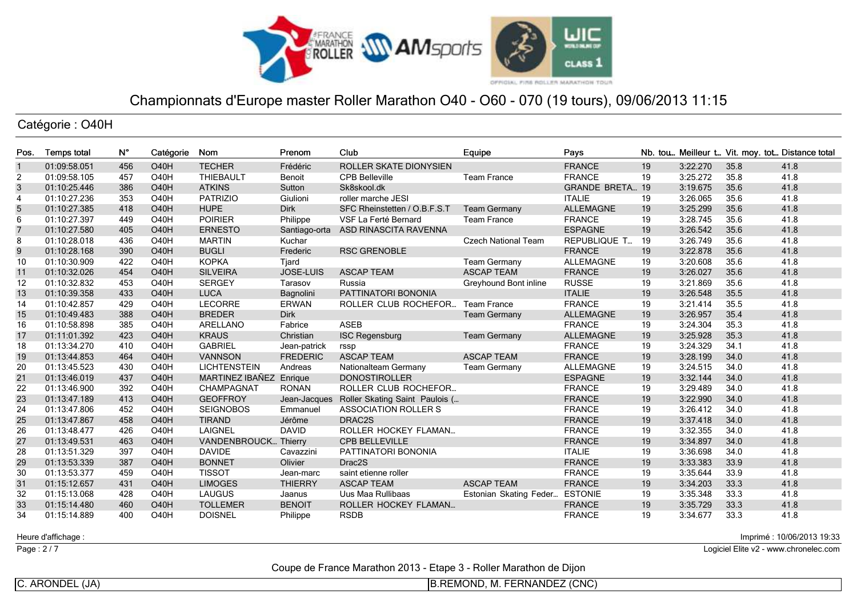

Catégorie : O40H

| Pos.           | <b>Temps total</b> | $N^{\circ}$ | Catégorie         | Nom                         | Prenom           | Club                           | Equipe                     | Pays                   |    |          |      | Nb. tou Meilleur t Vit. moy. tot Distance total |
|----------------|--------------------|-------------|-------------------|-----------------------------|------------------|--------------------------------|----------------------------|------------------------|----|----------|------|-------------------------------------------------|
| $\overline{1}$ | 01:09:58.051       | 456         | <b>O40H</b>       | <b>TECHER</b>               | Frédéric         | ROLLER SKATE DIONYSIEN         |                            | <b>FRANCE</b>          | 19 | 3:22.270 | 35.8 | 41.8                                            |
| 2              | 01:09:58.105       | 457         | O <sub>40</sub> H | <b>THIEBAULT</b>            | Benoit           | <b>CPB Belleville</b>          | <b>Team France</b>         | <b>FRANCE</b>          | 19 | 3:25.272 | 35.8 | 41.8                                            |
| 3              | 01:10:25.446       | 386         | <b>O40H</b>       | <b>ATKINS</b>               | Sutton           | Sk8skool.dk                    |                            | <b>GRANDE BRETA 19</b> |    | 3:19.675 | 35.6 | 41.8                                            |
| $\overline{4}$ | 01:10:27.236       | 353         | <b>O40H</b>       | <b>PATRIZIO</b>             | Giulioni         | roller marche JESI             |                            | <b>ITALIE</b>          | 19 | 3:26.065 | 35.6 | 41.8                                            |
| $\sqrt{5}$     | 01:10:27.385       | 418         | <b>O40H</b>       | <b>HUPE</b>                 | <b>Dirk</b>      | SFC Rheinstetten / O.B.F.S.T   | <b>Team Germany</b>        | <b>ALLEMAGNE</b>       | 19 | 3:25.299 | 35.6 | 41.8                                            |
| 6              | 01:10:27.397       | 449         | <b>O40H</b>       | <b>POIRIER</b>              | Philippe         | VSF La Ferté Bernard           | <b>Team France</b>         | <b>FRANCE</b>          | 19 | 3:28.745 | 35.6 | 41.8                                            |
| $\overline{7}$ | 01:10:27.580       | 405         | <b>O40H</b>       | <b>ERNESTO</b>              | Santiago-orta    | ASD RINASCITA RAVENNA          |                            | <b>ESPAGNE</b>         | 19 | 3:26.542 | 35.6 | 41.8                                            |
| 8              | 01:10:28.018       | 436         | <b>O40H</b>       | <b>MARTIN</b>               | Kuchar           |                                | <b>Czech National Team</b> | REPUBLIQUE T           | 19 | 3:26.749 | 35.6 | 41.8                                            |
| 9              | 01:10:28.168       | 390         | <b>O40H</b>       | <b>BUGLI</b>                | Frederic         | <b>RSC GRENOBLE</b>            |                            | <b>FRANCE</b>          | 19 | 3:22.878 | 35.6 | 41.8                                            |
| 10             | 01:10:30.909       | 422         | <b>O40H</b>       | <b>KOPKA</b>                | Tjard            |                                | <b>Team Germany</b>        | <b>ALLEMAGNE</b>       | 19 | 3:20.608 | 35.6 | 41.8                                            |
| 11             | 01:10:32.026       | 454         | <b>O40H</b>       | <b>SILVEIRA</b>             | <b>JOSE-LUIS</b> | <b>ASCAP TEAM</b>              | <b>ASCAP TEAM</b>          | <b>FRANCE</b>          | 19 | 3:26.027 | 35.6 | 41.8                                            |
| 12             | 01:10:32.832       | 453         | <b>O40H</b>       | <b>SERGEY</b>               | Tarasov          | Russia                         | Greyhound Bont inline      | <b>RUSSE</b>           | 19 | 3:21.869 | 35.6 | 41.8                                            |
| 13             | 01:10:39.358       | 433         | <b>O40H</b>       | <b>LUCA</b>                 | Bagnolini        | PATTINATORI BONONIA            |                            | <b>ITALIE</b>          | 19 | 3:26.548 | 35.5 | 41.8                                            |
| 14             | 01:10:42.857       | 429         | <b>O40H</b>       | <b>LECORRE</b>              | <b>ERWAN</b>     | ROLLER CLUB ROCHEFOR           | <b>Team France</b>         | <b>FRANCE</b>          | 19 | 3:21.414 | 35.5 | 41.8                                            |
| 15             | 01:10:49.483       | 388         | <b>O40H</b>       | <b>BREDER</b>               | Dirk             |                                | <b>Team Germany</b>        | <b>ALLEMAGNE</b>       | 19 | 3:26.957 | 35.4 | 41.8                                            |
| 16             | 01:10:58.898       | 385         | <b>O40H</b>       | ARELLANO                    | Fabrice          | <b>ASEB</b>                    |                            | <b>FRANCE</b>          | 19 | 3:24.304 | 35.3 | 41.8                                            |
| 17             | 01:11:01.392       | 423         | <b>O40H</b>       | <b>KRAUS</b>                | Christian        | <b>ISC Regensburg</b>          | <b>Team Germany</b>        | <b>ALLEMAGNE</b>       | 19 | 3:25.928 | 35.3 | 41.8                                            |
| 18             | 01:13:34.270       | 410         | <b>O40H</b>       | <b>GABRIEL</b>              | Jean-patrick     | rssp                           |                            | <b>FRANCE</b>          | 19 | 3:24.329 | 34.1 | 41.8                                            |
| 19             | 01:13:44.853       | 464         | <b>O40H</b>       | <b>VANNSON</b>              | <b>FREDERIC</b>  | <b>ASCAP TEAM</b>              | <b>ASCAP TEAM</b>          | <b>FRANCE</b>          | 19 | 3:28.199 | 34.0 | 41.8                                            |
| 20             | 01:13:45.523       | 430         | <b>O40H</b>       | <b>LICHTENSTEIN</b>         | Andreas          | Nationalteam Germany           | <b>Team Germany</b>        | <b>ALLEMAGNE</b>       | 19 | 3:24.515 | 34.0 | 41.8                                            |
| 21             | 01:13:46.019       | 437         | <b>O40H</b>       | MARTINEZ IBAÑEZ Enrique     |                  | <b>DONOSTIROLLER</b>           |                            | <b>ESPAGNE</b>         | 19 | 3:32.144 | 34.0 | 41.8                                            |
| 22             | 01:13:46.900       | 392         | <b>O40H</b>       | CHAMPAGNAT                  | <b>RONAN</b>     | ROLLER CLUB ROCHEFOR           |                            | <b>FRANCE</b>          | 19 | 3:29.489 | 34.0 | 41.8                                            |
| 23             | 01:13:47.189       | 413         | <b>O40H</b>       | <b>GEOFFROY</b>             | Jean-Jacques     | Roller Skating Saint Paulois ( |                            | <b>FRANCE</b>          | 19 | 3:22.990 | 34.0 | 41.8                                            |
| 24             | 01:13:47.806       | 452         | <b>O40H</b>       | <b>SEIGNOBOS</b>            | Emmanuel         | <b>ASSOCIATION ROLLER S</b>    |                            | <b>FRANCE</b>          | 19 | 3:26.412 | 34.0 | 41.8                                            |
| 25             | 01:13:47.867       | 458         | <b>O40H</b>       | <b>TIRAND</b>               | Jérôme           | DRAC2S                         |                            | <b>FRANCE</b>          | 19 | 3:37.418 | 34.0 | 41.8                                            |
| 26             | 01:13:48.477       | 426         | <b>O40H</b>       | <b>LAIGNEL</b>              | <b>DAVID</b>     | ROLLER HOCKEY FLAMAN           |                            | <b>FRANCE</b>          | 19 | 3:32.355 | 34.0 | 41.8                                            |
| 27             | 01:13:49.531       | 463         | <b>O40H</b>       | <b>VANDENBROUCK Thierry</b> |                  | <b>CPB BELLEVILLE</b>          |                            | <b>FRANCE</b>          | 19 | 3:34.897 | 34.0 | 41.8                                            |
| 28             | 01:13:51.329       | 397         | <b>O40H</b>       | <b>DAVIDE</b>               | Cavazzini        | PATTINATORI BONONIA            |                            | <b>ITALIE</b>          | 19 | 3:36.698 | 34.0 | 41.8                                            |
| 29             | 01:13:53.339       | 387         | <b>O40H</b>       | <b>BONNET</b>               | Olivier          | Drac2S                         |                            | <b>FRANCE</b>          | 19 | 3:33.383 | 33.9 | 41.8                                            |
| 30             | 01:13:53.377       | 459         | O <sub>40</sub> H | <b>TISSOT</b>               | Jean-marc        | saint etienne roller           |                            | <b>FRANCE</b>          | 19 | 3:35.644 | 33.9 | 41.8                                            |
| 31             | 01:15:12.657       | 431         | <b>O40H</b>       | <b>LIMOGES</b>              | <b>THIERRY</b>   | <b>ASCAP TEAM</b>              | <b>ASCAP TEAM</b>          | <b>FRANCE</b>          | 19 | 3:34.203 | 33.3 | 41.8                                            |
| 32             | 01:15:13.068       | 428         | <b>O40H</b>       | <b>LAUGUS</b>               | Jaanus           | Uus Maa Rullibaas              | Estonian Skating Feder     | <b>ESTONIE</b>         | 19 | 3:35.348 | 33.3 | 41.8                                            |
| 33             | 01:15:14.480       | 460         | <b>O40H</b>       | <b>TOLLEMER</b>             | <b>BENOIT</b>    | ROLLER HOCKEY FLAMAN           |                            | <b>FRANCE</b>          | 19 | 3:35.729 | 33.3 | 41.8                                            |
| 34             | 01:15:14.889       | 400         | <b>O40H</b>       | <b>DOISNEL</b>              | Philippe         | <b>RSDB</b>                    |                            | <b>FRANCE</b>          | 19 | 3:34.677 | 33.3 | 41.8                                            |

Heure d'affichage :

Page : 2/7

Imprimé : 10/06/2013 19:33

Logiciel Elite v2 - www.chronelec.com

Coupe de France Marathon 2013 - Etape 3 - Roller Marathon de Dijon

C. ARONDEL (JA)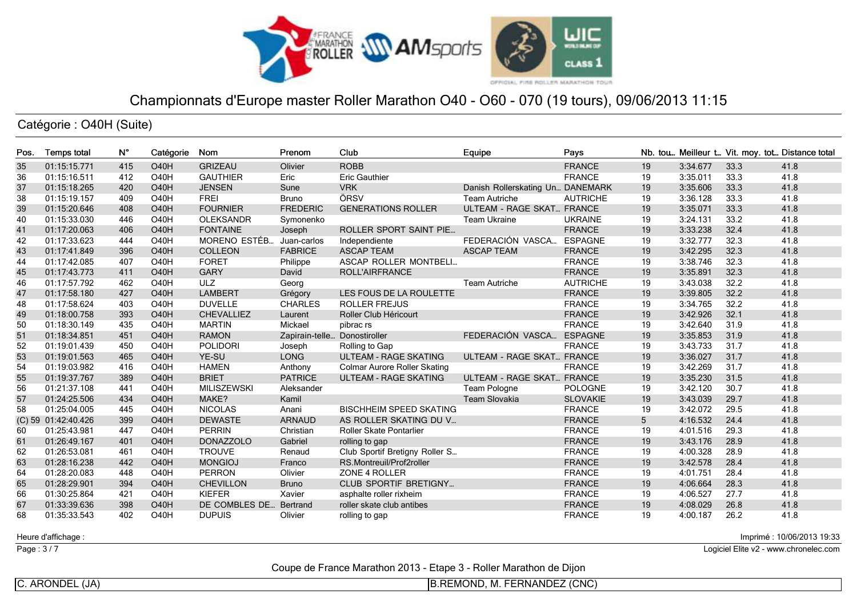

Catégorie : O40H (Suite)

| Pos. | <b>Temps total</b>  | $N^{\circ}$ | Catégorie         | Nom                | Prenom                       | Club                                | Equipe                           | Pays            |    |          |      | Nb. tou Meilleur t Vit. moy. tot Distance total |
|------|---------------------|-------------|-------------------|--------------------|------------------------------|-------------------------------------|----------------------------------|-----------------|----|----------|------|-------------------------------------------------|
| 35   | 01:15:15.771        | 415         | <b>O40H</b>       | <b>GRIZEAU</b>     | Olivier                      | <b>ROBB</b>                         |                                  | <b>FRANCE</b>   | 19 | 3:34.677 | 33.3 | 41.8                                            |
| 36   | 01:15:16.511        | 412         | O <sub>40</sub> H | <b>GAUTHIER</b>    | Eric                         | <b>Eric Gauthier</b>                |                                  | <b>FRANCE</b>   | 19 | 3:35.011 | 33.3 | 41.8                                            |
| 37   | 01:15:18.265        | 420         | <b>O40H</b>       | <b>JENSEN</b>      | Sune                         | <b>VRK</b>                          | Danish Rollerskating Un DANEMARK |                 | 19 | 3:35.606 | 33.3 | 41.8                                            |
| 38   | 01:15:19.157        | 409         | <b>O40H</b>       | <b>FREI</b>        | Bruno                        | ÖRSV                                | <b>Team Autriche</b>             | <b>AUTRICHE</b> | 19 | 3:36.128 | 33.3 | 41.8                                            |
| 39   | 01:15:20.646        | 408         | <b>O40H</b>       | <b>FOURNIER</b>    | <b>FREDERIC</b>              | <b>GENERATIONS ROLLER</b>           | <b>ULTEAM - RAGE SKAT FRANCE</b> |                 | 19 | 3:35.071 | 33.3 | 41.8                                            |
| 40   | 01:15:33.030        | 446         | <b>O40H</b>       | <b>OLEKSANDR</b>   | Symonenko                    |                                     | <b>Team Ukraine</b>              | <b>UKRAINE</b>  | 19 | 3:24.131 | 33.2 | 41.8                                            |
| 41   | 01:17:20.063        | 406         | <b>O40H</b>       | <b>FONTAINE</b>    | Joseph                       | <b>ROLLER SPORT SAINT PIE</b>       |                                  | <b>FRANCE</b>   | 19 | 3:33.238 | 32.4 | 41.8                                            |
| 42   | 01:17:33.623        | 444         | <b>O40H</b>       | MORENO ESTÉB.      | Juan-carlos                  | Independiente                       | FEDERACIÓN VASCA                 | <b>ESPAGNE</b>  | 19 | 3:32.777 | 32.3 | 41.8                                            |
| 43   | 01:17:41.849        | 396         | <b>O40H</b>       | <b>COLLEON</b>     | <b>FABRICE</b>               | <b>ASCAP TEAM</b>                   | <b>ASCAP TEAM</b>                | <b>FRANCE</b>   | 19 | 3:42.295 | 32.3 | 41.8                                            |
| 44   | 01:17:42.085        | 407         | O <sub>40</sub> H | <b>FORET</b>       | Philippe                     | ASCAP ROLLER MONTBELI               |                                  | <b>FRANCE</b>   | 19 | 3:38.746 | 32.3 | 41.8                                            |
| 45   | 01:17:43.773        | 411         | <b>O40H</b>       | <b>GARY</b>        | David                        | ROLL'AIRFRANCE                      |                                  | <b>FRANCE</b>   | 19 | 3:35.891 | 32.3 | 41.8                                            |
| 46   | 01:17:57.792        | 462         | <b>O40H</b>       | <b>ULZ</b>         | Georg                        |                                     | <b>Team Autriche</b>             | <b>AUTRICHE</b> | 19 | 3:43.038 | 32.2 | 41.8                                            |
| 47   | 01:17:58.180        | 427         | <b>O40H</b>       | <b>LAMBERT</b>     | Grégory                      | LES FOUS DE LA ROULETTE             |                                  | <b>FRANCE</b>   | 19 | 3:39.805 | 32.2 | 41.8                                            |
| 48   | 01:17:58.624        | 403         | <b>O40H</b>       | <b>DUVELLE</b>     | <b>CHARLES</b>               | <b>ROLLER FREJUS</b>                |                                  | <b>FRANCE</b>   | 19 | 3:34.765 | 32.2 | 41.8                                            |
| 49   | 01:18:00.758        | 393         | <b>O40H</b>       | <b>CHEVALLIEZ</b>  | Laurent                      | Roller Club Héricourt               |                                  | <b>FRANCE</b>   | 19 | 3:42.926 | 32.1 | 41.8                                            |
| 50   | 01:18:30.149        | 435         | <b>O40H</b>       | <b>MARTIN</b>      | Mickael                      | pibrac rs                           |                                  | <b>FRANCE</b>   | 19 | 3:42.640 | 31.9 | 41.8                                            |
| 51   | 01:18:34.851        | 451         | <b>O40H</b>       | <b>RAMON</b>       | Zapirain-telle Donostiroller |                                     | FEDERACIÓN VASCA                 | <b>ESPAGNE</b>  | 19 | 3:35.853 | 31.9 | 41.8                                            |
| 52   | 01:19:01.439        | 450         | <b>O40H</b>       | <b>POLIDORI</b>    | Joseph                       | Rolling to Gap                      |                                  | <b>FRANCE</b>   | 19 | 3:43.733 | 31.7 | 41.8                                            |
| 53   | 01:19:01.563        | 465         | <b>O40H</b>       | YE-SU              | <b>LONG</b>                  | <b>ULTEAM - RAGE SKATING</b>        | <b>ULTEAM - RAGE SKAT FRANCE</b> |                 | 19 | 3:36.027 | 31.7 | 41.8                                            |
| 54   | 01:19:03.982        | 416         | <b>O40H</b>       | <b>HAMEN</b>       | Anthony                      | <b>Colmar Aurore Roller Skating</b> |                                  | <b>FRANCE</b>   | 19 | 3:42.269 | 31.7 | 41.8                                            |
| 55   | 01:19:37.767        | 389         | <b>O40H</b>       | <b>BRIET</b>       | <b>PATRICE</b>               | <b>ULTEAM - RAGE SKATING</b>        | <b>ULTEAM - RAGE SKAT FRANCE</b> |                 | 19 | 3:35.230 | 31.5 | 41.8                                            |
| 56   | 01:21:37.108        | 441         | <b>O40H</b>       | <b>MILISZEWSKI</b> | Aleksander                   |                                     | Team Pologne                     | <b>POLOGNE</b>  | 19 | 3:42.120 | 30.7 | 41.8                                            |
| 57   | 01:24:25.506        | 434         | <b>O40H</b>       | MAKE?              | Kamil                        |                                     | <b>Team Slovakia</b>             | <b>SLOVAKIE</b> | 19 | 3:43.039 | 29.7 | 41.8                                            |
| 58   | 01:25:04.005        | 445         | <b>O40H</b>       | <b>NICOLAS</b>     | Anani                        | <b>BISCHHEIM SPEED SKATING</b>      |                                  | <b>FRANCE</b>   | 19 | 3:42.072 | 29.5 | 41.8                                            |
|      | (C) 59 01:42:40.426 | 399         | <b>O40H</b>       | <b>DEWASTE</b>     | <b>ARNAUD</b>                | AS ROLLER SKATING DU V              |                                  | <b>FRANCE</b>   | 5  | 4:16.532 | 24.4 | 41.8                                            |
| 60   | 01:25:43.981        | 447         | <b>O40H</b>       | <b>PERRIN</b>      | Christian                    | Roller Skate Pontarlier             |                                  | <b>FRANCE</b>   | 19 | 4:01.516 | 29.3 | 41.8                                            |
| 61   | 01:26:49.167        | 401         | <b>O40H</b>       | <b>DONAZZOLO</b>   | Gabriel                      | rolling to gap                      |                                  | <b>FRANCE</b>   | 19 | 3:43.176 | 28.9 | 41.8                                            |
| 62   | 01:26:53.081        | 461         | <b>O40H</b>       | <b>TROUVE</b>      | Renaud                       | Club Sportif Bretigny Roller S      |                                  | <b>FRANCE</b>   | 19 | 4:00.328 | 28.9 | 41.8                                            |
| 63   | 01:28:16.238        | 442         | <b>O40H</b>       | <b>MONGIOJ</b>     | Franco                       | RS.Montreuil/Prof2roller            |                                  | <b>FRANCE</b>   | 19 | 3:42.578 | 28.4 | 41.8                                            |
| 64   | 01:28:20.083        | 448         | <b>O40H</b>       | <b>PERRON</b>      | Olivier                      | ZONE 4 ROLLER                       |                                  | <b>FRANCE</b>   | 19 | 4:01.751 | 28.4 | 41.8                                            |
| 65   | 01:28:29.901        | 394         | <b>O40H</b>       | <b>CHEVILLON</b>   | <b>Bruno</b>                 | <b>CLUB SPORTIF BRETIGNY</b>        |                                  | <b>FRANCE</b>   | 19 | 4:06.664 | 28.3 | 41.8                                            |
| 66   | 01:30:25.864        | 421         | <b>O40H</b>       | <b>KIEFER</b>      | Xavier                       | asphalte roller rixheim             |                                  | <b>FRANCE</b>   | 19 | 4:06.527 | 27.7 | 41.8                                            |
| 67   | 01:33:39.636        | 398         | <b>O40H</b>       | DE COMBLES DE      | Bertrand                     | roller skate club antibes           |                                  | <b>FRANCE</b>   | 19 | 4:08.029 | 26.8 | 41.8                                            |
| 68   | 01:35:33.543        | 402         | O <sub>40</sub> H | <b>DUPUIS</b>      | Olivier                      | rolling to gap                      |                                  | <b>FRANCE</b>   | 19 | 4:00.187 | 26.2 | 41.8                                            |

Heure d'affichage :

Page : 3/7

Imprimé : 10/06/2013 19:33

Logiciel Elite v2 - www.chronelec.com

Coupe de France Marathon 2013 - Etape 3 - Roller Marathon de Dijon

C. ARONDEL (JA)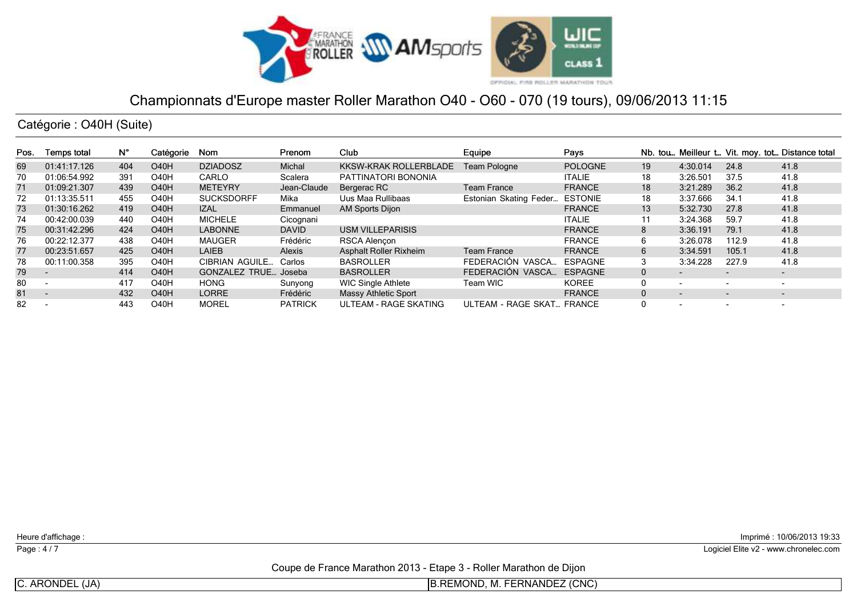

Catégorie : O40H (Suite)

| Pos. | <b>Temps total</b>       | Ν°  | Catégorie         | Nom                   | Prenom         | Club                         | Equipe                    | Pays           |              |                          |                          | Nb. tou Meilleur t Vit. moy. tot Distance total |
|------|--------------------------|-----|-------------------|-----------------------|----------------|------------------------------|---------------------------|----------------|--------------|--------------------------|--------------------------|-------------------------------------------------|
| 69   | 01:41:17.126             | 404 | <b>O40H</b>       | <b>DZIADOSZ</b>       | <b>Michal</b>  | <b>KKSW-KRAK ROLLERBLADE</b> | Team Pologne              | <b>POLOGNE</b> | 19           | 4:30.014                 | 24.8                     | 41.8                                            |
| 70   | 01:06:54.992             | 391 | O <sub>4</sub> 0H | CARLO                 | Scalera        | PATTINATORI BONONIA          |                           | <b>ITALIE</b>  | 18           | 3:26.501                 | 37.5                     | 41.8                                            |
| 71   | 01:09:21.307             | 439 | <b>O40H</b>       | <b>METEYRY</b>        | Jean-Claude    | Bergerac RC                  | <b>Team France</b>        | <b>FRANCE</b>  | 18           | 3:21.289                 | 36.2                     | 41.8                                            |
| 72   | 01:13:35.511             | 455 | <b>O40H</b>       | <b>SUCKSDORFF</b>     | Mika           | Uus Maa Rullibaas            | Estonian Skating Feder    | <b>ESTONIE</b> | 18           | 3:37.666                 | 34.7                     | 41.8                                            |
| 73   | 01:30:16.262             | 419 | <b>O40H</b>       | <b>IZAL</b>           | Emmanuel       | <b>AM Sports Dijon</b>       |                           | <b>FRANCE</b>  | 13           | 5:32.730                 | 27.8                     | 41.8                                            |
| 74   | 00:42:00.039             | 440 | <b>O40H</b>       | <b>MICHELE</b>        | Cicognani      |                              |                           | <b>ITALIE</b>  |              | 3:24.368                 | 59.7                     | 41.8                                            |
| 75   | 00:31:42.296             | 424 | <b>O40H</b>       | <b>LABONNE</b>        | <b>DAVID</b>   | <b>USM VILLEPARISIS</b>      |                           | <b>FRANCE</b>  |              | 3:36.191                 | 79.1                     | 41.8                                            |
| 76   | 00:22:12.377             | 438 | O <sub>4</sub> 0H | <b>MAUGER</b>         | Frédéric       | <b>RSCA Alencon</b>          |                           | <b>FRANCE</b>  |              | 3:26.078                 | 112.9                    | 41.8                                            |
| 77   | 00:23:51.657             | 425 | <b>O40H</b>       | <b>LAIEB</b>          | Alexis         | Asphalt Roller Rixheim       | <b>Team France</b>        | <b>FRANCE</b>  | 6            | 3:34.591                 | 105.1                    | 41.8                                            |
| 78   | 00:11:00.358             | 395 | O <sub>4</sub> 0H | <b>CIBRIAN AGUILE</b> | Carlos         | <b>BASROLLER</b>             | FEDERACIÓN VASCA          | <b>ESPAGNE</b> |              | 3:34.228                 | 227.9                    | 41.8                                            |
| 79   |                          | 414 | <b>O40H</b>       | <b>GONZALEZ TRUE</b>  | Joseba         | <b>BASROLLER</b>             | FEDERACIÓN VASCA          | <b>ESPAGNE</b> | $\mathbf{0}$ | $\overline{\phantom{0}}$ | $\overline{\phantom{0}}$ | $\overline{\phantom{a}}$                        |
| 80   |                          | 417 | <b>O40H</b>       | <b>HONG</b>           | Sunyong        | <b>WIC Single Athlete</b>    | Team WIC                  | <b>KOREE</b>   |              | $\overline{\phantom{0}}$ | $\overline{\phantom{a}}$ | $\overline{\phantom{a}}$                        |
| 81   | $\overline{\phantom{0}}$ | 432 | O <sub>4</sub> 0H | <b>LORRE</b>          | Frédéric       | <b>Massy Athletic Sport</b>  |                           | <b>FRANCE</b>  | $\Omega$     | $\overline{\phantom{0}}$ | $\overline{\phantom{a}}$ | $\overline{\phantom{a}}$                        |
| 82   |                          | 443 | O40H              | <b>MOREL</b>          | <b>PATRICK</b> | ULTEAM - RAGE SKATING        | ULTEAM - RAGE SKAT FRANCE |                |              | $\overline{\phantom{a}}$ | $\overline{\phantom{a}}$ | $\overline{\phantom{0}}$                        |

Heure d'affichage :

Page : 4/7

Imprimé : 10/06/2013 19:33

Logiciel Elite v2 - www.chronelec.com

Coupe de France Marathon 2013 - Etape 3 - Roller Marathon de Dijon

C. ARONDEL (JA)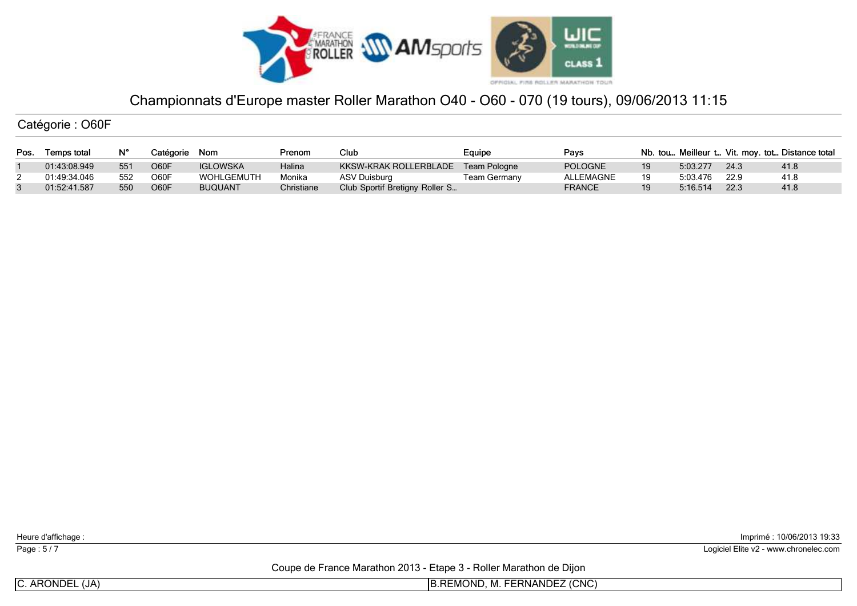

Catégorie : O60F

| Pos. | Temps total  |     | Catégorie | Nom             | Prenom     | Club                           | Eauipe              | Pavs             |          |      | Nb. tou Meilleur t Vit. moy. tot Distance total |
|------|--------------|-----|-----------|-----------------|------------|--------------------------------|---------------------|------------------|----------|------|-------------------------------------------------|
|      | 01:43:08.949 | 551 | O60F      | <b>IGLOWSKA</b> | Halina     | KKSW-KRAK ROLLERBLADE          | Team Pologne        | <b>POLOGNE</b>   | 5:03.277 | 24.3 | 41.8                                            |
|      | 01:49:34.046 | 552 | O60F      | WOHLGEMUTH      | Monika     | ASV Duisburg                   | <b>Team Germany</b> | <b>ALLEMAGNE</b> | 5:03.476 | 22.9 | 41.8                                            |
|      | 01:52:41.587 | 550 | O60F      | <b>BUQUANT</b>  | Christiane | Club Sportif Bretigny Roller S |                     | <b>FRANCE</b>    | 5:16.514 | 22.3 | 41.8                                            |

Heure d'affichage :

Page : 5/7

Imprimé : 10/06/2013 19:33

Logiciel Elite v2 - www.chronelec.com

Coupe de France Marathon 2013 - Etape 3 - Roller Marathon de Dijon

C. ARONDEL (JA)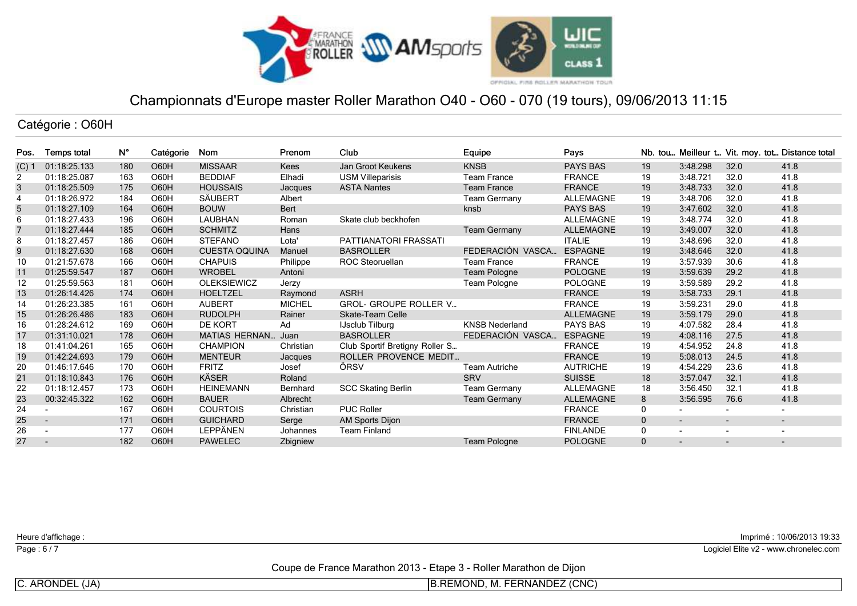

## Catégorie : O60H

| Pos.           | Temps total              | Ν°  | Catégorie   | Nom                   | Prenom        | Club                           | Equipe                | Pays             |              |                          |                          | Nb. tou Meilleur t Vit. moy. tot Distance total |
|----------------|--------------------------|-----|-------------|-----------------------|---------------|--------------------------------|-----------------------|------------------|--------------|--------------------------|--------------------------|-------------------------------------------------|
| $(C)$ 1        | 01:18:25.133             | 180 | <b>O60H</b> | <b>MISSAAR</b>        | <b>Kees</b>   | Jan Groot Keukens              | <b>KNSB</b>           | <b>PAYS BAS</b>  | 19           | 3:48.298                 | 32.0                     | 41.8                                            |
| 2              | 01:18:25.087             | 163 | O60H        | <b>BEDDIAF</b>        | Elhadi        | <b>USM Villeparisis</b>        | Team France           | <b>FRANCE</b>    | 19           | 3:48.721                 | 32.0                     | 41.8                                            |
| 3              | 01:18:25.509             | 175 | <b>O60H</b> | <b>HOUSSAIS</b>       | Jacques       | <b>ASTA Nantes</b>             | <b>Team France</b>    | <b>FRANCE</b>    | 19           | 3:48.733                 | 32.0                     | 41.8                                            |
| $\overline{4}$ | 01:18:26.972             | 184 | O60H        | SÄUBERT               | Albert        |                                | <b>Team Germany</b>   | <b>ALLEMAGNE</b> | 19           | 3:48.706                 | 32.0                     | 41.8                                            |
| 5              | 01:18:27.109             | 164 | <b>O60H</b> | <b>BOUW</b>           | Bert          |                                | knsb                  | <b>PAYS BAS</b>  | 19           | 3:47.602                 | 32.0                     | 41.8                                            |
| 6              | 01:18:27.433             | 196 | O60H        | LAUBHAN               | Roman         | Skate club beckhofen           |                       | ALLEMAGNE        | 19           | 3:48.774                 | 32.0                     | 41.8                                            |
| $\overline{7}$ | 01:18:27.444             | 185 | O60H        | <b>SCHMITZ</b>        | Hans          |                                | <b>Team Germany</b>   | <b>ALLEMAGNE</b> | 19           | 3:49.007                 | 32.0                     | 41.8                                            |
| 8              | 01:18:27.457             | 186 | O60H        | <b>STEFANO</b>        | Lota'         | PATTIANATORI FRASSATI          |                       | <b>ITALIE</b>    | 19           | 3:48.696                 | 32.0                     | 41.8                                            |
| $\mathsf g$    | 01:18:27.630             | 168 | <b>O60H</b> | <b>CUESTA OQUINA</b>  | Manuel        | <b>BASROLLER</b>               | FEDERACIÓN VASCA      | <b>ESPAGNE</b>   | 19           | 3:48.646                 | 32.0                     | 41.8                                            |
| 10             | 01:21:57.678             | 166 | O60H        | <b>CHAPUIS</b>        | Philippe      | <b>ROC Steoruellan</b>         | <b>Team France</b>    | <b>FRANCE</b>    | 19           | 3:57.939                 | 30.6                     | 41.8                                            |
| 11             | 01:25:59.547             | 187 | <b>O60H</b> | <b>WROBEL</b>         | Antoni        |                                | Team Pologne          | <b>POLOGNE</b>   | 19           | 3:59.639                 | 29.2                     | 41.8                                            |
| 12             | 01:25:59.563             | 181 | O60H        | <b>OLEKSIEWICZ</b>    | Jerzy         |                                | <b>Team Pologne</b>   | <b>POLOGNE</b>   | 19           | 3:59.589                 | 29.2                     | 41.8                                            |
| 13             | 01:26:14.426             | 174 | O60H        | <b>HOELTZEL</b>       | Raymond       | <b>ASRH</b>                    |                       | <b>FRANCE</b>    | 19           | 3:58.733                 | 29.1                     | 41.8                                            |
| 14             | 01:26:23.385             | 161 | O60H        | AUBERT                | <b>MICHEL</b> | <b>GROL- GROUPE ROLLER V</b>   |                       | <b>FRANCE</b>    | 19           | 3:59.231                 | 29.0                     | 41.8                                            |
| 15             | 01:26:26.486             | 183 | <b>O60H</b> | <b>RUDOLPH</b>        | Rainer        | Skate-Team Celle               |                       | <b>ALLEMAGNE</b> | 19           | 3:59.179                 | 29.0                     | 41.8                                            |
| 16             | 01:28:24.612             | 169 | O60H        | DE KORT               | Ad            | <b>IJsclub Tilburg</b>         | <b>KNSB Nederland</b> | <b>PAYS BAS</b>  | 19           | 4:07.582                 | 28.4                     | 41.8                                            |
| 17             | 01:31:10.021             | 178 | O60H        | <b>MATIAS HERNAN.</b> | Juan          | <b>BASROLLER</b>               | FEDERACIÓN VASCA      | <b>ESPAGNE</b>   | 19           | 4:08.116                 | 27.5                     | 41.8                                            |
| 18             | 01:41:04.261             | 165 | O60H        | <b>CHAMPION</b>       | Christian     | Club Sportif Bretigny Roller S |                       | <b>FRANCE</b>    | 19           | 4:54.952                 | 24.8                     | 41.8                                            |
| 19             | 01:42:24.693             | 179 | <b>O60H</b> | <b>MENTEUR</b>        | Jacques       | <b>ROLLER PROVENCE MEDIT</b>   |                       | <b>FRANCE</b>    | 19           | 5:08.013                 | 24.5                     | 41.8                                            |
| 20             | 01:46:17.646             | 170 | O60H        | <b>FRITZ</b>          | Josef         | ÖRSV                           | Team Autriche         | <b>AUTRICHE</b>  | 19           | 4:54.229                 | 23.6                     | 41.8                                            |
| 21             | 01:18:10.843             | 176 | O60H        | <b>KÄSER</b>          | Roland        |                                | <b>SRV</b>            | <b>SUISSE</b>    | 18           | 3:57.047                 | 32.1                     | 41.8                                            |
| 22             | 01:18:12.457             | 173 | O60H        | <b>HEINEMANN</b>      | Bernhard      | <b>SCC Skating Berlin</b>      | <b>Team Germany</b>   | <b>ALLEMAGNE</b> | 18           | 3:56.450                 | 32.1                     | 41.8                                            |
| 23             | 00:32:45.322             | 162 | <b>O60H</b> | <b>BAUER</b>          | Albrecht      |                                | <b>Team Germany</b>   | <b>ALLEMAGNE</b> | 8            | 3:56.595                 | 76.6                     | 41.8                                            |
| 24             | $\overline{\phantom{a}}$ | 167 | O60H        | <b>COURTOIS</b>       | Christian     | <b>PUC Roller</b>              |                       | <b>FRANCE</b>    | $\Omega$     |                          |                          | $\sim$                                          |
| 25             | $\sim$                   | 171 | <b>O60H</b> | <b>GUICHARD</b>       | Serge         | <b>AM Sports Dijon</b>         |                       | <b>FRANCE</b>    | $\mathbf{0}$ | $\sim$                   | $\overline{\phantom{a}}$ | $\sim$                                          |
| 26             | $\overline{\phantom{0}}$ | 177 | O60H        | LEPPÄNEN              | Johannes      | <b>Team Finland</b>            |                       | <b>FINLANDE</b>  | $\mathbf{0}$ |                          | $\blacksquare$           | $\overline{\phantom{a}}$                        |
| 27             | $\overline{\phantom{a}}$ | 182 | <b>O60H</b> | <b>PAWELEC</b>        | Zbigniew      |                                | <b>Team Pologne</b>   | <b>POLOGNE</b>   | $\Omega$     | $\overline{\phantom{a}}$ | $\overline{\phantom{0}}$ | $\overline{\phantom{a}}$                        |

Heure d'affichage :

Page : 6/7

Imprimé : 10/06/2013 19:33

Logiciel Elite v2 - www.chronelec.com

Coupe de France Marathon 2013 - Etape 3 - Roller Marathon de Dijon

C. ARONDEL (JA)